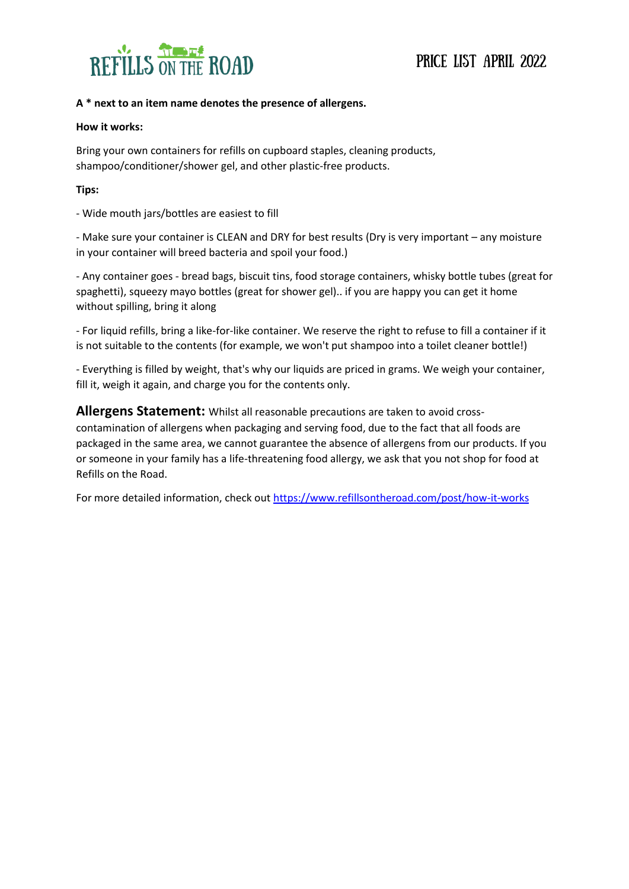

### **A \* next to an item name denotes the presence of allergens.**

#### **How it works:**

Bring your own containers for refills on cupboard staples, cleaning products, shampoo/conditioner/shower gel, and other plastic-free products.

### **Tips:**

- Wide mouth jars/bottles are easiest to fill

- Make sure your container is CLEAN and DRY for best results (Dry is very important – any moisture in your container will breed bacteria and spoil your food.)

- Any container goes - bread bags, biscuit tins, food storage containers, whisky bottle tubes (great for spaghetti), squeezy mayo bottles (great for shower gel).. if you are happy you can get it home without spilling, bring it along

- For liquid refills, bring a like-for-like container. We reserve the right to refuse to fill a container if it is not suitable to the contents (for example, we won't put shampoo into a toilet cleaner bottle!)

- Everything is filled by weight, that's why our liquids are priced in grams. We weigh your container, fill it, weigh it again, and charge you for the contents only.

### **Allergens Statement:** Whilst all reasonable precautions are taken to avoid cross-

contamination of allergens when packaging and serving food, due to the fact that all foods are packaged in the same area, we cannot guarantee the absence of allergens from our products. If you or someone in your family has a life-threatening food allergy, we ask that you not shop for food at Refills on the Road.

For more detailed information, check ou[t https://www.refillsontheroad.com/post/how-it-works](https://www.refillsontheroad.com/post/how-it-works)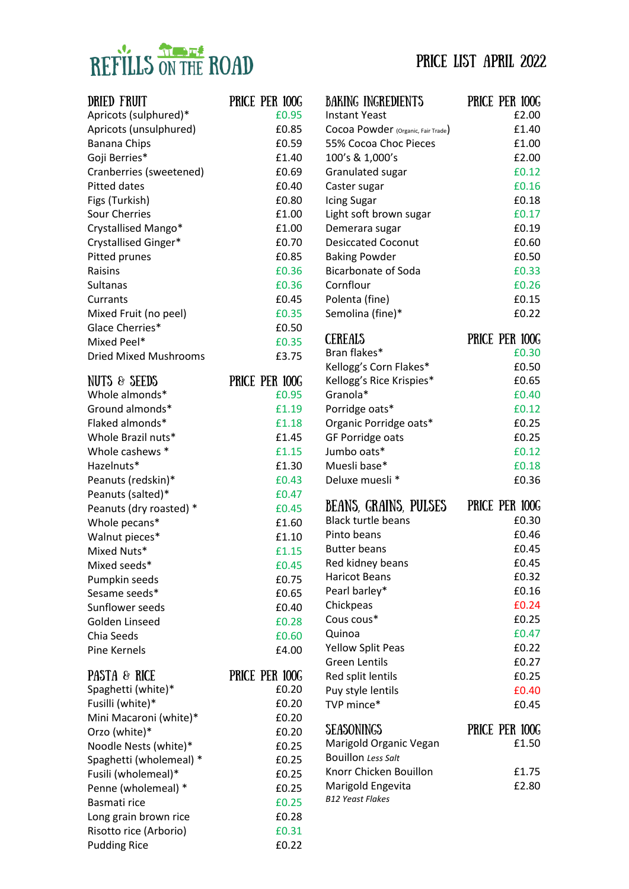# REFILLS ON THE ROAD

|  |  |  | PRICE LIST APRIL 2022 |  |
|--|--|--|-----------------------|--|
|--|--|--|-----------------------|--|

| DRIED FRUIT<br>Apricots (sulphured)* | PRICE PER 100G<br>£0.95 |
|--------------------------------------|-------------------------|
| Apricots (unsulphured)               | £0.85                   |
| <b>Banana Chips</b>                  | £0.59                   |
| Goji Berries*                        | £1.40                   |
| Cranberries (sweetened)              | £0.69                   |
| <b>Pitted dates</b>                  | £0.40                   |
| Figs (Turkish)                       | £0.80                   |
| <b>Sour Cherries</b>                 | £1.00                   |
| Crystallised Mango*                  | £1.00                   |
| Crystallised Ginger*                 | £0.70                   |
| Pitted prunes                        | £0.85                   |
| Raisins                              | £0.36                   |
| Sultanas                             | £0.36                   |
| Currants                             | £0.45                   |
| Mixed Fruit (no peel)                | £0.35                   |
| Glace Cherries*                      | £0.50                   |
| Mixed Peel*                          | £0.35                   |
| <b>Dried Mixed Mushrooms</b>         | £3.75                   |
| NUTS & SEEDS                         | PRICE PER 100G          |
| Whole almonds*                       | £0.95                   |
| Ground almonds*                      | £1.19                   |
| Flaked almonds*                      | £1.18                   |
| Whole Brazil nuts*                   | £1.45                   |
| Whole cashews *                      | £1.15                   |
| Hazelnuts*                           | £1.30                   |
| Peanuts (redskin)*                   | £0.43                   |
| Peanuts (salted)*                    | £0.47                   |
| Peanuts (dry roasted) *              | £0.45                   |
| Whole pecans*                        | £1.60                   |
| Walnut pieces*                       | £1.10                   |
| Mixed Nuts*                          | £1.15                   |
| Mixed seeds*                         | £0.45                   |
| Pumpkin seeds                        | £0.75                   |
| Sesame seeds*                        | £0.65                   |
| Sunflower seeds                      | £0.40                   |
| Golden Linseed                       | £0.28                   |
| Chia Seeds                           | £0.60                   |
| <b>Pine Kernels</b>                  | £4.00                   |
| <b>PASTA &amp; RICE</b>              | PRICE PER 100G          |
| Spaghetti (white)*                   | £0.20                   |
| Fusilli (white)*                     | £0.20                   |
| Mini Macaroni (white)*               | £0.20                   |
| Orzo (white)*                        | £0.20                   |
| Noodle Nests (white)*                | £0.25                   |
| Spaghetti (wholemeal) *              | £0.25                   |
| Fusili (wholemeal)*                  | £0.25                   |
| Penne (wholemeal) *                  | £0.25                   |
| Basmati rice                         | £0.25                   |
| Long grain brown rice                | £0.28                   |
| Risotto rice (Arborio)               | £0.31                   |
| <b>Pudding Rice</b>                  | £0.22                   |

| BAKING INGREDIENTS                 | PRICE PER 100G |
|------------------------------------|----------------|
| <b>Instant Yeast</b>               | £2.00          |
| Cocoa Powder (Organic, Fair Trade) | £1.40          |
| 55% Cocoa Choc Pieces              | £1.00          |
| 100's & 1,000's                    | £2.00          |
| Granulated sugar                   | £0.12          |
| Caster sugar                       | £0.16          |
| <b>Icing Sugar</b>                 | £0.18          |
| Light soft brown sugar             | £0.17          |
| Demerara sugar                     | £0.19          |
| <b>Desiccated Coconut</b>          | £0.60          |
| <b>Baking Powder</b>               | £0.50          |
| <b>Bicarbonate of Soda</b>         | £0.33          |
| Cornflour                          | £0.26          |
| Polenta (fine)                     | £0.15          |
| Semolina (fine)*                   | £0.22          |
| CEREALS                            | PRICE PER 100G |
| Bran flakes*                       | £0.30          |
| Kellogg's Corn Flakes*             | £0.50          |
| Kellogg's Rice Krispies*           | £0.65          |
| Granola*                           | £0.40          |
| Porridge oats*                     | £0.12          |
| Organic Porridge oats*             | £0.25          |
| GF Porridge oats                   | £0.25          |
| Jumbo oats*                        | £0.12          |
|                                    |                |
| Muesli base*                       | £0.18          |
| Deluxe muesli *                    | £0.36          |
| BEANS, GRAINS, PULSES              | PRICE PER 100G |
| <b>Black turtle beans</b>          | £0.30          |
| Pinto beans                        | £0.46          |
| <b>Butter beans</b>                | £0.45          |
| Red kidney beans                   | £0.45          |
| <b>Haricot Beans</b>               | £0.32          |
| Pearl barley*                      | £0.16          |
| Chickpeas                          | £0.24          |
| Cous cous*                         | £0.25          |
| Quinoa                             | £0.47          |
| <b>Yellow Split Peas</b>           | £0.22          |
| <b>Green Lentils</b>               | £0.27          |
| Red split lentils                  | £0.25          |
| Puy style lentils                  | £0.40          |
| TVP mince*                         | £0.45          |
| <b>SEASONINGS</b>                  | PRICE PER 100G |
| Marigold Organic Vegan             | £1.50          |
| <b>Bouillon Less Salt</b>          |                |
| Knorr Chicken Bouillon             | £1.75          |
| Marigold Engevita                  | £2.80          |
| <b>B12 Yeast Flakes</b>            |                |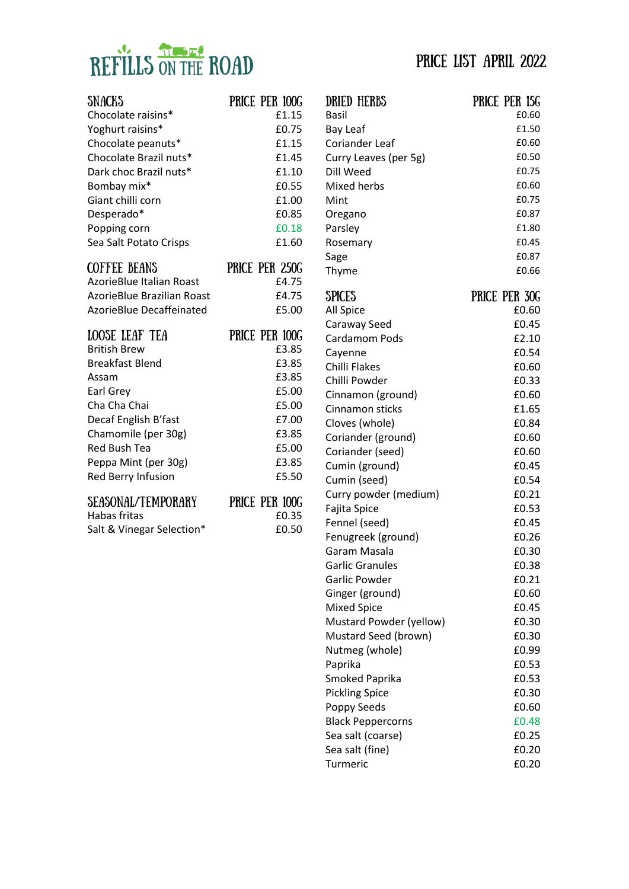# REFILLS ON THE ROAD

| SNACKS                          | PRICE PER 100G |
|---------------------------------|----------------|
| Chocolate raisins*              | £1.15          |
| Yoghurt raisins*                | £0.75          |
| Chocolate peanuts*              | £1.15          |
| Chocolate Brazil nuts*          | £1.45          |
| Dark choc Brazil nuts*          | £1.10          |
| Bombay mix*                     | £0.55          |
| Giant chilli corn               | £1.00          |
| Desperado*                      | £0.85          |
| Popping corn                    | £0.18          |
| Sea Salt Potato Crisps          | £1.60          |
| <b>COFFEE BEANS</b>             | PRICE PER 250G |
| <b>AzorieBlue Italian Roast</b> | £4.75          |
| AzorieBlue Brazilian Roast      | £4.75          |
| <b>AzorieBlue Decaffeinated</b> | £5.00          |
| LOOSE LEAF TEA                  | PRICE PER 100G |
| <b>British Brew</b>             | £3.85          |
| <b>Breakfast Blend</b>          | £3.85          |
| Assam                           | £3.85          |
| Earl Grey                       | £5.00          |
| Cha Cha Chai                    | £5.00          |
| Decaf English B'fast            | £7.00          |
| Chamomile (per 30g)             | £3.85          |
| <b>Red Bush Tea</b>             | £5.00          |
| Peppa Mint (per 30g)            | £3.85          |
| Red Berry Infusion              | £5.50          |
| SEASONAL/TEMPORARY              | PRICE PER 100G |

| OLIIOVINIIN TLITI VIIIIITT | THUT TIM IOOG |
|----------------------------|---------------|
| Habas fritas               | £0.35         |
| Salt & Vinegar Selection*  | £0.50         |

| DRIED HERBS<br>Basil     | PRICE PER 15G<br>£0.60 |
|--------------------------|------------------------|
| <b>Bay Leaf</b>          | £1.50                  |
| <b>Coriander Leaf</b>    | £0.60                  |
| Curry Leaves (per 5g)    | £0.50                  |
| Dill Weed                | £0.75                  |
| Mixed herbs              | £0.60                  |
| Mint                     | £0.75                  |
| Oregano                  | £0.87                  |
| Parsley                  | £1.80                  |
| Rosemary                 | £0.45                  |
| Sage                     | £0.87                  |
| Thyme                    | £0.66                  |
| SPICES                   | PRICE PER 30G          |
| All Spice                | £0.60                  |
| Caraway Seed             | £0.45                  |
| Cardamom Pods            | £2.10                  |
| Cayenne                  | £0.54                  |
| Chilli Flakes            | £0.60                  |
| Chilli Powder            | £0.33                  |
| Cinnamon (ground)        | £0.60                  |
| Cinnamon sticks          | £1.65                  |
| Cloves (whole)           | £0.84                  |
| Coriander (ground)       | £0.60                  |
| Coriander (seed)         | £0.60                  |
| Cumin (ground)           | £0.45                  |
| Cumin (seed)             | £0.54                  |
| Curry powder (medium)    | £0.21                  |
| Fajita Spice             | £0.53                  |
| Fennel (seed)            | £0.45                  |
| Fenugreek (ground)       | £0.26                  |
| Garam Masala             | £0.30                  |
| <b>Garlic Granules</b>   | £0.38                  |
| Garlic Powder            | £0.21                  |
| Ginger (ground)          | £0.60                  |
| <b>Mixed Spice</b>       | £0.45                  |
| Mustard Powder (yellow)  | £0.30                  |
| Mustard Seed (brown)     | £0.30                  |
| Nutmeg (whole)           | £0.99                  |
| Paprika                  | £0.53                  |
| Smoked Paprika           | £0.53                  |
| <b>Pickling Spice</b>    | £0.30                  |
| Poppy Seeds              | £0.60                  |
| <b>Black Peppercorns</b> | £0.48                  |
| Sea salt (coarse)        | £0.25                  |
| Sea salt (fine)          | £0.20                  |
| Turmeric                 | £0.20                  |

### Price List april 2022